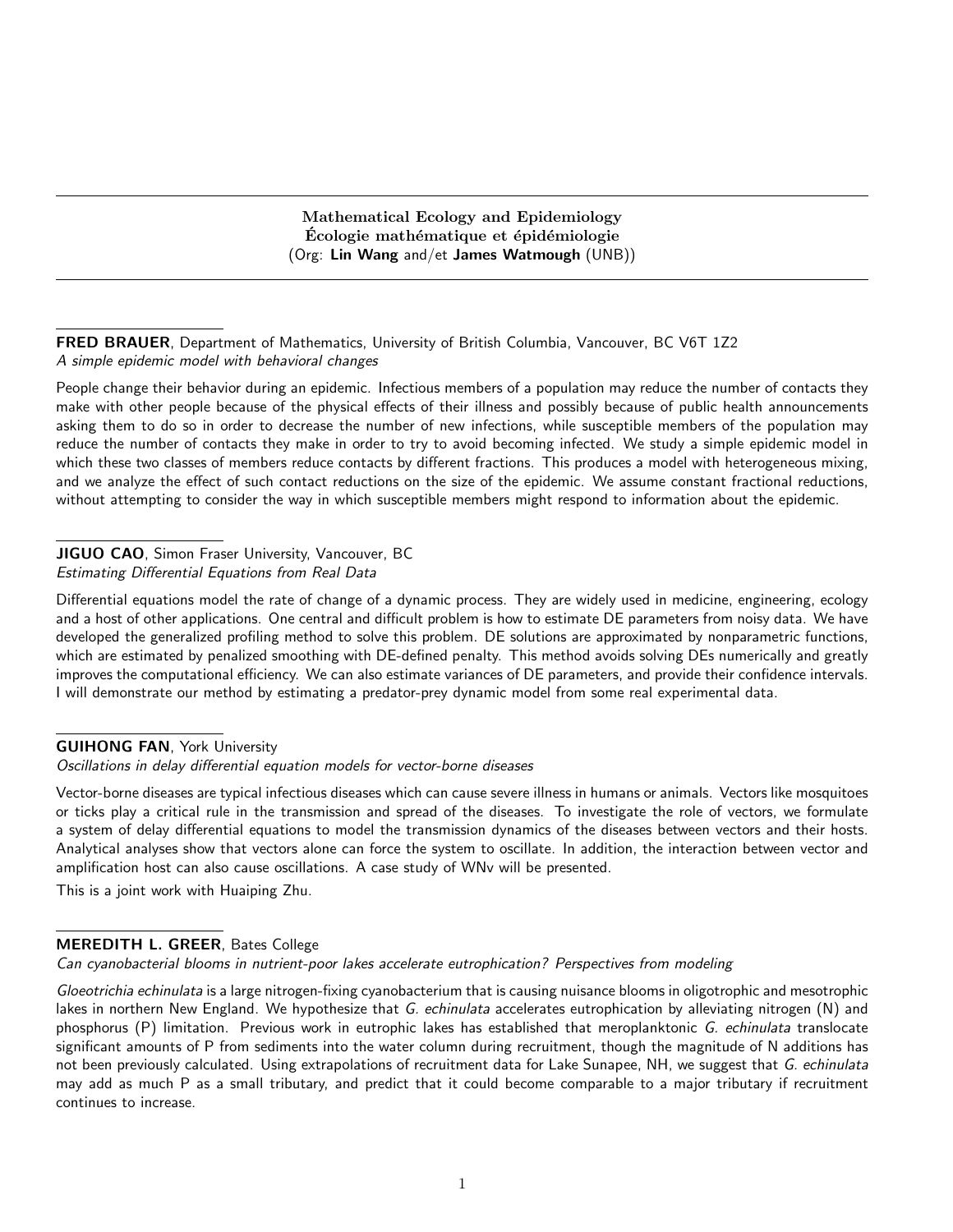Mathematical Ecology and Epidemiology Ecologie mathématique et épidémiologie (Org: Lin Wang and/et James Watmough (UNB))

FRED BRAUER, Department of Mathematics, University of British Columbia, Vancouver, BC V6T 1Z2 A simple epidemic model with behavioral changes

People change their behavior during an epidemic. Infectious members of a population may reduce the number of contacts they make with other people because of the physical effects of their illness and possibly because of public health announcements asking them to do so in order to decrease the number of new infections, while susceptible members of the population may reduce the number of contacts they make in order to try to avoid becoming infected. We study a simple epidemic model in which these two classes of members reduce contacts by different fractions. This produces a model with heterogeneous mixing, and we analyze the effect of such contact reductions on the size of the epidemic. We assume constant fractional reductions, without attempting to consider the way in which susceptible members might respond to information about the epidemic.

## JIGUO CAO, Simon Fraser University, Vancouver, BC Estimating Differential Equations from Real Data

Differential equations model the rate of change of a dynamic process. They are widely used in medicine, engineering, ecology and a host of other applications. One central and difficult problem is how to estimate DE parameters from noisy data. We have developed the generalized profiling method to solve this problem. DE solutions are approximated by nonparametric functions, which are estimated by penalized smoothing with DE-defined penalty. This method avoids solving DEs numerically and greatly improves the computational efficiency. We can also estimate variances of DE parameters, and provide their confidence intervals. I will demonstrate our method by estimating a predator-prey dynamic model from some real experimental data.

## GUIHONG FAN, York University

Oscillations in delay differential equation models for vector-borne diseases

Vector-borne diseases are typical infectious diseases which can cause severe illness in humans or animals. Vectors like mosquitoes or ticks play a critical rule in the transmission and spread of the diseases. To investigate the role of vectors, we formulate a system of delay differential equations to model the transmission dynamics of the diseases between vectors and their hosts. Analytical analyses show that vectors alone can force the system to oscillate. In addition, the interaction between vector and amplification host can also cause oscillations. A case study of WNv will be presented.

This is a joint work with Huaiping Zhu.

# MEREDITH L. GREER, Bates College

Can cyanobacterial blooms in nutrient-poor lakes accelerate eutrophication? Perspectives from modeling

Gloeotrichia echinulata is a large nitrogen-fixing cyanobacterium that is causing nuisance blooms in oligotrophic and mesotrophic lakes in northern New England. We hypothesize that G. echinulata accelerates eutrophication by alleviating nitrogen (N) and phosphorus (P) limitation. Previous work in eutrophic lakes has established that meroplanktonic G. echinulata translocate significant amounts of P from sediments into the water column during recruitment, though the magnitude of N additions has not been previously calculated. Using extrapolations of recruitment data for Lake Sunapee, NH, we suggest that G. echinulata may add as much P as a small tributary, and predict that it could become comparable to a major tributary if recruitment continues to increase.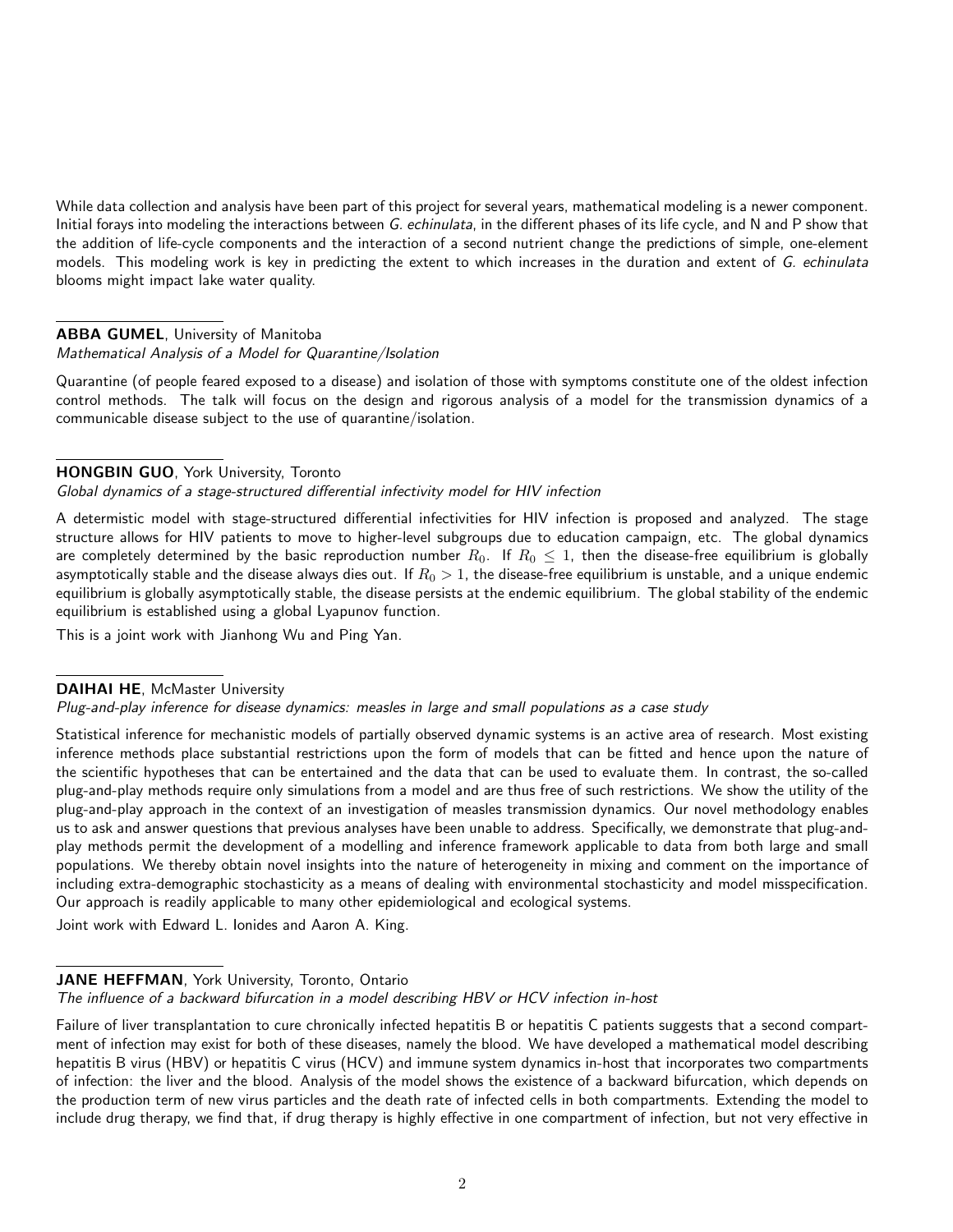While data collection and analysis have been part of this project for several years, mathematical modeling is a newer component. Initial forays into modeling the interactions between G. echinulata, in the different phases of its life cycle, and N and P show that the addition of life-cycle components and the interaction of a second nutrient change the predictions of simple, one-element models. This modeling work is key in predicting the extent to which increases in the duration and extent of G. echinulata blooms might impact lake water quality.

## ABBA GUMEL, University of Manitoba

### Mathematical Analysis of a Model for Quarantine/Isolation

Quarantine (of people feared exposed to a disease) and isolation of those with symptoms constitute one of the oldest infection control methods. The talk will focus on the design and rigorous analysis of a model for the transmission dynamics of a communicable disease subject to the use of quarantine/isolation.

### HONGBIN GUO, York University, Toronto

### Global dynamics of a stage-structured differential infectivity model for HIV infection

A determistic model with stage-structured differential infectivities for HIV infection is proposed and analyzed. The stage structure allows for HIV patients to move to higher-level subgroups due to education campaign, etc. The global dynamics are completely determined by the basic reproduction number  $R_0$ . If  $R_0 \le 1$ , then the disease-free equilibrium is globally asymptotically stable and the disease always dies out. If  $R_0 > 1$ , the disease-free equilibrium is unstable, and a unique endemic equilibrium is globally asymptotically stable, the disease persists at the endemic equilibrium. The global stability of the endemic equilibrium is established using a global Lyapunov function.

This is a joint work with Jianhong Wu and Ping Yan.

### DAIHAI HE, McMaster University

### Plug-and-play inference for disease dynamics: measles in large and small populations as a case study

Statistical inference for mechanistic models of partially observed dynamic systems is an active area of research. Most existing inference methods place substantial restrictions upon the form of models that can be fitted and hence upon the nature of the scientific hypotheses that can be entertained and the data that can be used to evaluate them. In contrast, the so-called plug-and-play methods require only simulations from a model and are thus free of such restrictions. We show the utility of the plug-and-play approach in the context of an investigation of measles transmission dynamics. Our novel methodology enables us to ask and answer questions that previous analyses have been unable to address. Specifically, we demonstrate that plug-andplay methods permit the development of a modelling and inference framework applicable to data from both large and small populations. We thereby obtain novel insights into the nature of heterogeneity in mixing and comment on the importance of including extra-demographic stochasticity as a means of dealing with environmental stochasticity and model misspecification. Our approach is readily applicable to many other epidemiological and ecological systems.

Joint work with Edward L. Ionides and Aaron A. King.

### JANE HEFFMAN, York University, Toronto, Ontario

The influence of a backward bifurcation in a model describing HBV or HCV infection in-host

Failure of liver transplantation to cure chronically infected hepatitis B or hepatitis C patients suggests that a second compartment of infection may exist for both of these diseases, namely the blood. We have developed a mathematical model describing hepatitis B virus (HBV) or hepatitis C virus (HCV) and immune system dynamics in-host that incorporates two compartments of infection: the liver and the blood. Analysis of the model shows the existence of a backward bifurcation, which depends on the production term of new virus particles and the death rate of infected cells in both compartments. Extending the model to include drug therapy, we find that, if drug therapy is highly effective in one compartment of infection, but not very effective in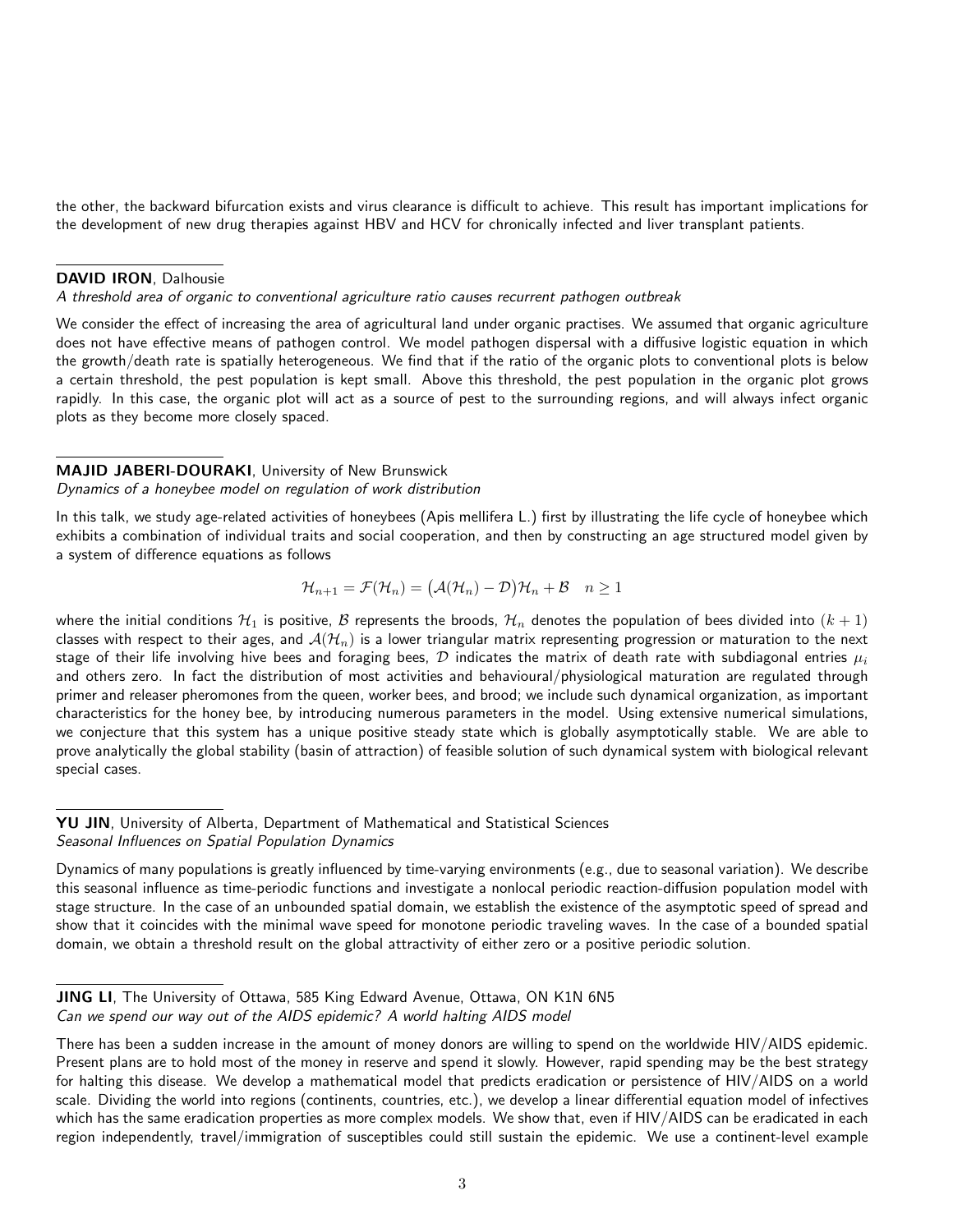the other, the backward bifurcation exists and virus clearance is difficult to achieve. This result has important implications for the development of new drug therapies against HBV and HCV for chronically infected and liver transplant patients.

#### DAVID IRON, Dalhousie

A threshold area of organic to conventional agriculture ratio causes recurrent pathogen outbreak

We consider the effect of increasing the area of agricultural land under organic practises. We assumed that organic agriculture does not have effective means of pathogen control. We model pathogen dispersal with a diffusive logistic equation in which the growth/death rate is spatially heterogeneous. We find that if the ratio of the organic plots to conventional plots is below a certain threshold, the pest population is kept small. Above this threshold, the pest population in the organic plot grows rapidly. In this case, the organic plot will act as a source of pest to the surrounding regions, and will always infect organic plots as they become more closely spaced.

### MAJID JABERI-DOURAKI, University of New Brunswick

Dynamics of a honeybee model on regulation of work distribution

In this talk, we study age-related activities of honeybees (Apis mellifera L.) first by illustrating the life cycle of honeybee which exhibits a combination of individual traits and social cooperation, and then by constructing an age structured model given by a system of difference equations as follows

$$
\mathcal{H}_{n+1} = \mathcal{F}(\mathcal{H}_n) = (\mathcal{A}(\mathcal{H}_n) - \mathcal{D})\mathcal{H}_n + \mathcal{B} \quad n \ge 1
$$

where the initial conditions  $H_1$  is positive, B represents the broods,  $H_n$  denotes the population of bees divided into  $(k+1)$ classes with respect to their ages, and  $A(\mathcal{H}_n)$  is a lower triangular matrix representing progression or maturation to the next stage of their life involving hive bees and foraging bees,  $D$  indicates the matrix of death rate with subdiagonal entries  $\mu_i$ and others zero. In fact the distribution of most activities and behavioural/physiological maturation are regulated through primer and releaser pheromones from the queen, worker bees, and brood; we include such dynamical organization, as important characteristics for the honey bee, by introducing numerous parameters in the model. Using extensive numerical simulations, we conjecture that this system has a unique positive steady state which is globally asymptotically stable. We are able to prove analytically the global stability (basin of attraction) of feasible solution of such dynamical system with biological relevant special cases.

YU JIN, University of Alberta, Department of Mathematical and Statistical Sciences Seasonal Influences on Spatial Population Dynamics

Dynamics of many populations is greatly influenced by time-varying environments (e.g., due to seasonal variation). We describe this seasonal influence as time-periodic functions and investigate a nonlocal periodic reaction-diffusion population model with stage structure. In the case of an unbounded spatial domain, we establish the existence of the asymptotic speed of spread and show that it coincides with the minimal wave speed for monotone periodic traveling waves. In the case of a bounded spatial domain, we obtain a threshold result on the global attractivity of either zero or a positive periodic solution.

JING LI, The University of Ottawa, 585 King Edward Avenue, Ottawa, ON K1N 6N5 Can we spend our way out of the AIDS epidemic? A world halting AIDS model

There has been a sudden increase in the amount of money donors are willing to spend on the worldwide HIV/AIDS epidemic. Present plans are to hold most of the money in reserve and spend it slowly. However, rapid spending may be the best strategy for halting this disease. We develop a mathematical model that predicts eradication or persistence of HIV/AIDS on a world scale. Dividing the world into regions (continents, countries, etc.), we develop a linear differential equation model of infectives which has the same eradication properties as more complex models. We show that, even if HIV/AIDS can be eradicated in each region independently, travel/immigration of susceptibles could still sustain the epidemic. We use a continent-level example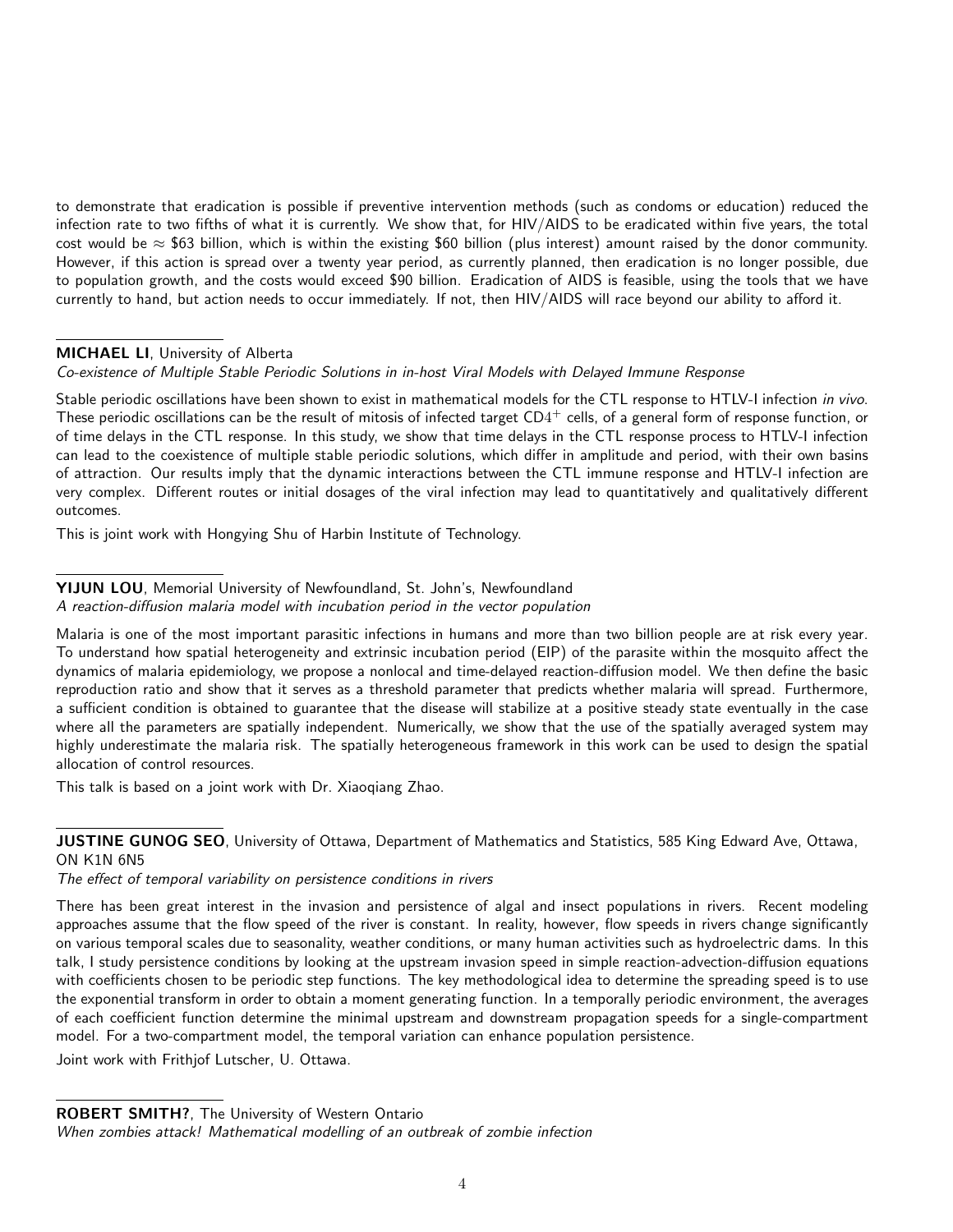to demonstrate that eradication is possible if preventive intervention methods (such as condoms or education) reduced the infection rate to two fifths of what it is currently. We show that, for HIV/AIDS to be eradicated within five years, the total cost would be  $\approx$  \$63 billion, which is within the existing \$60 billion (plus interest) amount raised by the donor community. However, if this action is spread over a twenty year period, as currently planned, then eradication is no longer possible, due to population growth, and the costs would exceed \$90 billion. Eradication of AIDS is feasible, using the tools that we have currently to hand, but action needs to occur immediately. If not, then HIV/AIDS will race beyond our ability to afford it.

## MICHAEL LI, University of Alberta

### Co-existence of Multiple Stable Periodic Solutions in in-host Viral Models with Delayed Immune Response

Stable periodic oscillations have been shown to exist in mathematical models for the CTL response to HTLV-I infection in vivo. These periodic oscillations can be the result of mitosis of infected target  $CD4^+$  cells, of a general form of response function, or of time delays in the CTL response. In this study, we show that time delays in the CTL response process to HTLV-I infection can lead to the coexistence of multiple stable periodic solutions, which differ in amplitude and period, with their own basins of attraction. Our results imply that the dynamic interactions between the CTL immune response and HTLV-I infection are very complex. Different routes or initial dosages of the viral infection may lead to quantitatively and qualitatively different outcomes.

This is joint work with Hongying Shu of Harbin Institute of Technology.

### YIJUN LOU, Memorial University of Newfoundland, St. John's, Newfoundland A reaction-diffusion malaria model with incubation period in the vector population

Malaria is one of the most important parasitic infections in humans and more than two billion people are at risk every year. To understand how spatial heterogeneity and extrinsic incubation period (EIP) of the parasite within the mosquito affect the dynamics of malaria epidemiology, we propose a nonlocal and time-delayed reaction-diffusion model. We then define the basic reproduction ratio and show that it serves as a threshold parameter that predicts whether malaria will spread. Furthermore, a sufficient condition is obtained to guarantee that the disease will stabilize at a positive steady state eventually in the case where all the parameters are spatially independent. Numerically, we show that the use of the spatially averaged system may highly underestimate the malaria risk. The spatially heterogeneous framework in this work can be used to design the spatial allocation of control resources.

This talk is based on a joint work with Dr. Xiaoqiang Zhao.

## **JUSTINE GUNOG SEO**, University of Ottawa, Department of Mathematics and Statistics, 585 King Edward Ave, Ottawa, ON K1N 6N5

The effect of temporal variability on persistence conditions in rivers

There has been great interest in the invasion and persistence of algal and insect populations in rivers. Recent modeling approaches assume that the flow speed of the river is constant. In reality, however, flow speeds in rivers change significantly on various temporal scales due to seasonality, weather conditions, or many human activities such as hydroelectric dams. In this talk, I study persistence conditions by looking at the upstream invasion speed in simple reaction-advection-diffusion equations with coefficients chosen to be periodic step functions. The key methodological idea to determine the spreading speed is to use the exponential transform in order to obtain a moment generating function. In a temporally periodic environment, the averages of each coefficient function determine the minimal upstream and downstream propagation speeds for a single-compartment model. For a two-compartment model, the temporal variation can enhance population persistence.

Joint work with Frithjof Lutscher, U. Ottawa.

ROBERT SMITH?, The University of Western Ontario

When zombies attack! Mathematical modelling of an outbreak of zombie infection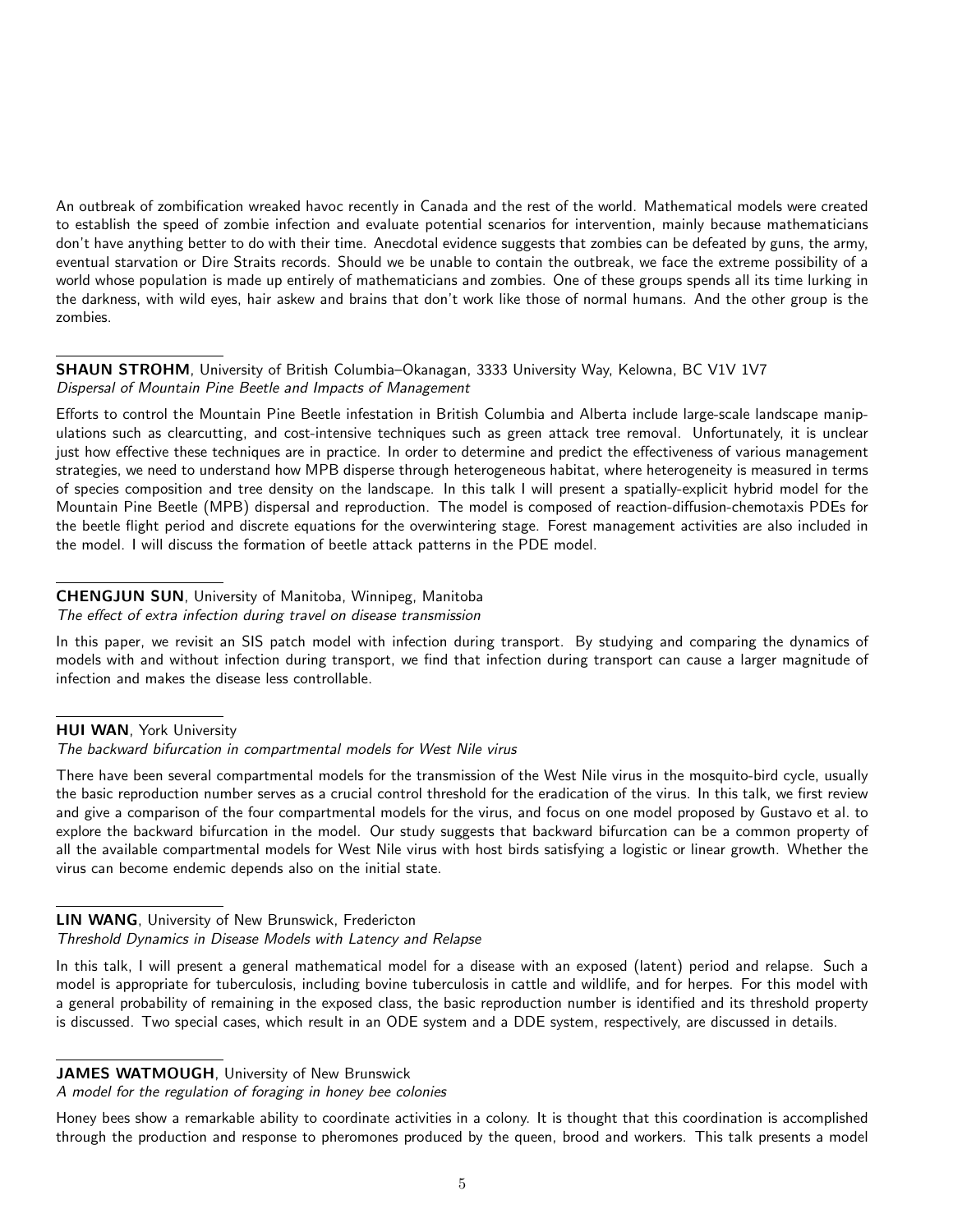An outbreak of zombification wreaked havoc recently in Canada and the rest of the world. Mathematical models were created to establish the speed of zombie infection and evaluate potential scenarios for intervention, mainly because mathematicians don't have anything better to do with their time. Anecdotal evidence suggests that zombies can be defeated by guns, the army, eventual starvation or Dire Straits records. Should we be unable to contain the outbreak, we face the extreme possibility of a world whose population is made up entirely of mathematicians and zombies. One of these groups spends all its time lurking in the darkness, with wild eyes, hair askew and brains that don't work like those of normal humans. And the other group is the zombies.

SHAUN STROHM, University of British Columbia–Okanagan, 3333 University Way, Kelowna, BC V1V 1V7 Dispersal of Mountain Pine Beetle and Impacts of Management

Efforts to control the Mountain Pine Beetle infestation in British Columbia and Alberta include large-scale landscape manipulations such as clearcutting, and cost-intensive techniques such as green attack tree removal. Unfortunately, it is unclear just how effective these techniques are in practice. In order to determine and predict the effectiveness of various management strategies, we need to understand how MPB disperse through heterogeneous habitat, where heterogeneity is measured in terms of species composition and tree density on the landscape. In this talk I will present a spatially-explicit hybrid model for the Mountain Pine Beetle (MPB) dispersal and reproduction. The model is composed of reaction-diffusion-chemotaxis PDEs for the beetle flight period and discrete equations for the overwintering stage. Forest management activities are also included in the model. I will discuss the formation of beetle attack patterns in the PDE model.

## CHENGJUN SUN, University of Manitoba, Winnipeg, Manitoba

#### The effect of extra infection during travel on disease transmission

In this paper, we revisit an SIS patch model with infection during transport. By studying and comparing the dynamics of models with and without infection during transport, we find that infection during transport can cause a larger magnitude of infection and makes the disease less controllable.

### HUI WAN, York University

#### The backward bifurcation in compartmental models for West Nile virus

There have been several compartmental models for the transmission of the West Nile virus in the mosquito-bird cycle, usually the basic reproduction number serves as a crucial control threshold for the eradication of the virus. In this talk, we first review and give a comparison of the four compartmental models for the virus, and focus on one model proposed by Gustavo et al. to explore the backward bifurcation in the model. Our study suggests that backward bifurcation can be a common property of all the available compartmental models for West Nile virus with host birds satisfying a logistic or linear growth. Whether the virus can become endemic depends also on the initial state.

## LIN WANG, University of New Brunswick, Fredericton Threshold Dynamics in Disease Models with Latency and Relapse

In this talk, I will present a general mathematical model for a disease with an exposed (latent) period and relapse. Such a model is appropriate for tuberculosis, including bovine tuberculosis in cattle and wildlife, and for herpes. For this model with a general probability of remaining in the exposed class, the basic reproduction number is identified and its threshold property is discussed. Two special cases, which result in an ODE system and a DDE system, respectively, are discussed in details.

JAMES WATMOUGH, University of New Brunswick

A model for the regulation of foraging in honey bee colonies

Honey bees show a remarkable ability to coordinate activities in a colony. It is thought that this coordination is accomplished through the production and response to pheromones produced by the queen, brood and workers. This talk presents a model